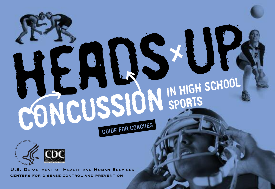



**U.S. DEPARTMENT OF HEALTH AND HUMAN SERVICES CENTERS FOR DISEASE CONTROL AND PREVENTION**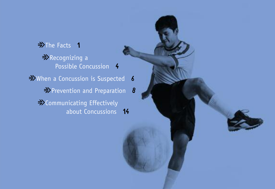$\Rightarrow$ The Facts 1  $\Rightarrow$  Recognizing a Possible Concussion **4**  $\Rightarrow$  When a Concussion is Suspected **6**  $\Rightarrow$  Prevention and Preparation **8**  $\Rightarrow$  Communicating Effectively about Concussions **14**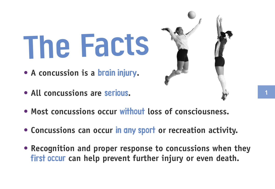# **The Facts**

- **• A concussion is a brain injury.**
- **• All concussions are serious.**



- **• Most concussions occur without loss of consciousness.**
- **• Concussions can occur in any sport or recreation activity.**
- **• Recognition and proper response to concussions when they first occur can help prevent further injury or even death.**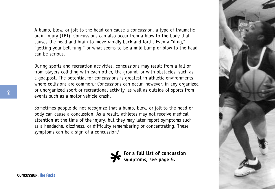A bump, blow, or jolt to the head can cause a concussion, a type of traumatic brain injury (TBI). Concussions can also occur from a blow to the body that causes the head and brain to move rapidly back and forth. Even a "ding," "getting your bell rung," or what seems to be a mild bump or blow to the head can be serious.

During sports and recreation activities, concussions may result from a fall or from players colliding with each other, the ground, or with obstacles, such as a goalpost. The potential for concussions is greatest in athletic environments where collisions are common.<sup>1</sup> Concussions can occur, however, in any organized or unorganized sport or recreational activity, as well as outside of sports from events such as a motor vehicle crash.

Sometimes people do not recognize that a bump, blow, or jolt to the head or body can cause a concussion. As a result, athletes may not receive medical attention at the time of the injury, but they may later report symptoms such as a headache, dizziness, or difficulty remembering or concentrating. These symptoms can be a sign of a concussion.<sup>2</sup>





**CONCUSSION: The Facts**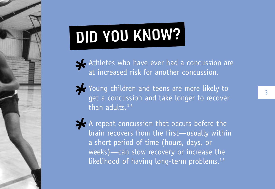## **DID YOU KNOW?**

Athletes who have ever had a concussion are at increased risk for another concussion.

See Young children and teens are more likely to get a concussion and take longer to recover than adults. 3-6

A repeat concussion that occurs before the brain recovers from the first—usually within a short period of time (hours, days, or weeks)—can slow recovery or increase the likelihood of having long-term problems.<sup>7,8</sup>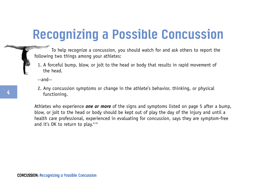## **Recognizing a Possible Concussion**

To help recognize a concussion, you should watch for and ask others to report the following two things among your athletes:

1. A forceful bump, blow, or jolt to the head or body that results in rapid movement of the head.

--and--

2. Any concussion symptoms or change in the athlete's behavior, thinking, or physical functioning.

Athletes who experience *one or more* of the signs and symptoms listed on page 5 after a bump, blow, or jolt to the head or body should be kept out of play the day of the injury and until a health care professional, experienced in evaluating for concussion, says they are symptom-free and it's  $0K$  to return to play.<sup>9,10</sup>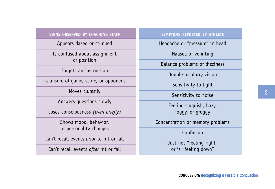#### **SIGNS OBSERVED BY COACHING STAFF**

Appears dazed or stunned

Is confused about assignment or position

Forgets an instruction

Is unsure of game, score, or opponent

Moves clumsily

Answers questions slowly

Loses consciousness *(even briefly)*

Shows mood, behavior, or personality changes

Can't recall events *prior* to hit or fall

Can't recall events *after* hit or fall

#### **SYMPTOMS REPORTED BY ATHLETE**

Headache or "pressure" in head

Nausea or vomiting

Balance problems or dizziness

Double or blurry vision

Sensitivity to light

Sensitivity to noise

Feeling sluggish, hazy, foggy, or groggy

Concentration or memory problems

Confusion

Just not "feeling right" or is "feeling down"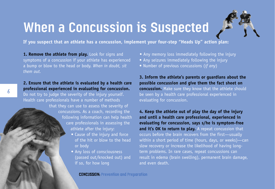## **When a Concussion is Suspected**



**If you suspect that an athlete has a concussion, implement your four-step "Heads Up" action plan:**

**1. Remove the athlete from play.** Look for signs and symptoms of a concussion if your athlete has experienced a bump or blow to the head or body. *When in doubt, sit them out.*

#### **2. Ensure that the athlete is evaluated by a health care professional experienced in evaluating for concussion.**

Do not try to judge the severity of the injury yourself. Health care professionals have a number of methods

> that they can use to assess the severity of concussions. As a coach, recording the following information can help health care professionals in assessing the athlete after the injury:

- Cause of the injury and force of the hit or blow to the head or body
- Any loss of consciousness (passed out/knocked out) and if so, for how long
- Any memory loss immediately following the injury
- Any seizures immediately following the injury
- Number of previous concussions (*if any*)

**3. Inform the athlete's parents or guardians about the possible concussion and give them the fact sheet on concussion.** Make sure they know that the athlete should be seen by a health care professional experienced in evaluating for concussion.

**4. Keep the athlete out of play the day of the injury and until a health care professional, experienced in evaluating for concussion, says s/he is symptom-free** and it's OK to return to play. A repeat concussion that occurs before the brain recovers from the first—usually within a short period of time (hours, days, or weeks)—can slow recovery or increase the likelihood of having longterm problems. In rare cases, repeat concussions can result in edema (brain swelling), permanent brain damage, and even death.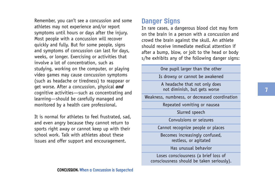Remember, you can't see a concussion and some athletes may not experience and/or report symptoms until hours or days after the injury. Most people with a concussion will recover quickly and fully. But for some people, signs and symptoms of concussion can last for days, weeks, or longer. Exercising or activities that involve a lot of concentration, such as studying, working on the computer, or playing video games may cause concussion symptoms (such as headache or tiredness) to reappear or get worse. After a concussion, physical *and* cognitive activities—such as concentrating and learning—should be carefully managed and monitored by a health care professional.

It is normal for athletes to feel frustrated, sad, and even angry because they cannot return to sports right away or cannot keep up with their school work. Talk with athletes about these issues and offer support and encouragement.

#### **Danger Signs**

In rare cases, a dangerous blood clot may form on the brain in a person with a concussion and crowd the brain against the skull. An athlete should receive immediate medical attention if after a bump, blow, or jolt to the head or body s/he exhibits any of the following danger signs:

One pupil larger than the other Is drowsy or cannot be awakened A headache that not only does not diminish, but gets worse Weakness, numbness, or decreased coordination Repeated vomiting or nausea Slurred speech Convulsions or seizures Cannot recognize people or places Becomes increasingly confused, restless, or agitated Has unusual behavior Loses consciousness (a brief loss of consciousness should be taken seriously).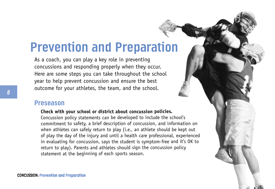### **Prevention and Preparation**

As a coach, you can play a key role in preventing concussions and responding properly when they occur. Here are some steps you can take throughout the school year to help prevent concussion and ensure the best outcome for your athletes, the team, and the school.

#### **Preseason**

#### **Check with your school or district about concussion policies.**

Concussion policy statements can be developed to include the school's commitment to safety, a brief description of concussion, and information on when athletes can safely return to play (i.e., an athlete should be kept out of play the day of the injury and until a health care professional, experienced in evaluating for concussion, says the student is symptom-free and it's OK to return to play). Parents and athletes should sign the concussion policy statement at the beginning of each sports season.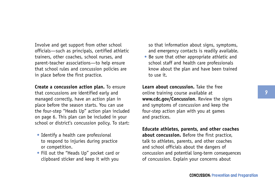Involve and get support from other school officials—such as principals, certified athletic trainers, other coaches, school nurses, and parent-teacher associations—to help ensure that school rules and concussion policies are in place before the first practice.

**Create a concussion action plan.** To ensure that concussions are identified early and managed correctly, have an action plan in place before the season starts. You can use the four-step "Heads Up" action plan included on page 6. This plan can be included in your school or district's concussion policy. To start:

- Identify a health care professional to respond to injuries during practice or competition.
- Fill out the "Heads Up" pocket card or clipboard sticker and keep it with you

so that information about signs, symptoms, and emergency contacts is readily available.

• Be sure that other appropriate athletic and school staff and health care professionals know about the plan and have been trained to use it.

**Learn about concussion.** Take the free online training course available at **www.cdc.gov/Concussion**. Review the signs and symptoms of concussion and keep the four-step action plan with you at games and practices.

**Educate athletes, parents, and other coaches about concussion.** Before the first practice, talk to athletes, parents, and other coaches and school officials about the dangers of concussion and potential long-term consequences of concussion. Explain your concerns about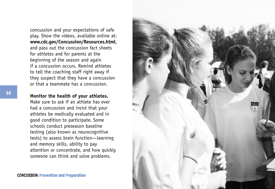concussion and your expectations of safe play. Show the videos, available online at: **www.cdc.gov/Concussion/Resources.html**, and pass out the concussion fact sheets for athletes and for parents at the beginning of the season and again if a concussion occurs. Remind athletes to tell the coaching staff right away if they suspect that they have a concussion or that a teammate has a concussion.

#### **Monitor the health of your athletes.**

Make sure to ask if an athlete has ever had a concussion and insist that your athletes be medically evaluated and in good condition to participate. Some schools conduct preseason baseline testing (also known as neurocognitive tests) to assess brain function—learning and memory skills, ability to pay attention or concentrate, and how quickly someone can think and solve problems.

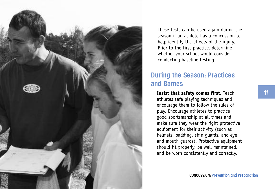

These tests can be used again during the season if an athlete has a concussion to help identify the effects of the injury. Prior to the first practice, determine whether your school would consider conducting baseline testing.

#### **During the Season: Practices and Games**

**Insist that safety comes first.** Teach athletes safe playing techniques and encourage them to follow the rules of play. Encourage athletes to practice good sportsmanship at all times and make sure they wear the right protective equipment for their activity (such as helmets, padding, shin guards, and eye and mouth guards). Protective equipment should fit properly, be well maintained, and be worn consistently and correctly.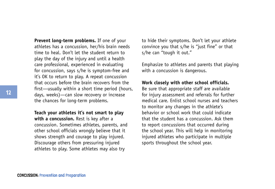**Prevent long-term problems.** If one of your athletes has a concussion, her/his brain needs time to heal. Don't let the student return to play the day of the injury and until a health care professional, experienced in evaluating for concussion, says s/he is symptom-free and it's OK to return to play. A repeat concussion that occurs before the brain recovers from the first—usually within a short time period (hours, days, weeks)—can slow recovery or increase the chances for long-term problems.

**Teach your athletes it's not smart to play with a concussion.** Rest is key after a concussion. Sometimes athletes, parents, and other school officials wrongly believe that it shows strength and courage to play injured. Discourage others from pressuring injured athletes to play. Some athletes may also try

to hide their symptoms. Don't let your athlete convince you that s/he is "just fine" or that s/he can "tough it out."

Emphasize to athletes and parents that playing with a concussion is dangerous.

#### **Work closely with other school officials.**

Be sure that appropriate staff are available for injury assessment and referrals for further medical care. Enlist school nurses and teachers to monitor any changes in the athlete's behavior or school work that could indicate that the student has a concussion. Ask them to report concussions that occurred during the school year. This will help in monitoring injured athletes who participate in multiple sports throughout the school year.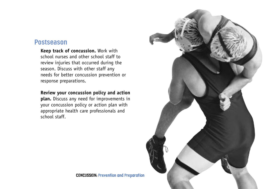#### **Postseason**

**Keep track of concussion.** Work with school nurses and other school staff to review injuries that occurred during the season. Discuss with other staff any needs for better concussion prevention or response preparations.

#### **Review your concussion policy and action**

**plan.** Discuss any need for improvements in your concussion policy or action plan with appropriate health care professionals and school staff.

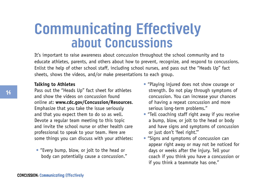## **Communicating Effectively about Concussions**

It's important to raise awareness about concussion throughout the school community and to educate athletes, parents, and others about how to prevent, recognize, and respond to concussions. Enlist the help of other school staff, including school nurses, and pass out the "Heads Up" fact sheets, shows the videos, and/or make presentations to each group.

#### **Talking to Athletes**

Pass out the "Heads Up" fact sheet for athletes and show the videos on concussion found online at: **www.cdc.gov/Concussion/Resources**. Emphasize that you take the issue seriously and that you expect them to do so as well. Devote a regular team meeting to this topic and invite the school nurse or other health care professional to speak to your team. Here are some things you can discuss with your athletes:

• "Every bump, blow, or jolt to the head or body can potentially cause a concussion."

- "Playing injured does not show courage or strength. Do not play through symptoms of concussion. You can increase your chances of having a repeat concussion and more serious long-term problems."
- "Tell coaching staff right away if you receive a bump, blow, or jolt to the head or body and have signs and symptoms of concussion or just don't 'feel right.'"
- "Signs and symptoms of concussion can appear right away or may not be noticed for days or weeks after the injury. Tell your coach if you think you have a concussion or if you think a teammate has one."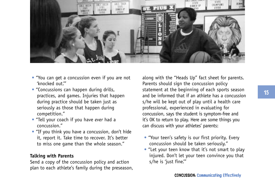

- "You can get a concussion even if you are not 'knocked out.'"
- "Concussions can happen during drills, practices, and games. Injuries that happen during practice should be taken just as seriously as those that happen during competition."
- "Tell your coach if you have *ever* had a concussion."
- "If you think you have a concussion, don't hide it, report it. Take time to recover. It's better to miss one game than the whole season."

#### **Talking with Parents**

Send a copy of the concussion policy and action plan to each athlete's family during the preseason, along with the "Heads Up" fact sheet for parents. Parents should sign the concussion policy statement at the beginning of each sports season and be informed that if an athlete has a concussion s/he will be kept out of play until a health care professional, experienced in evaluating for concussion, says the student is symptom-free and it's OK to return to play. Here are some things you can discuss with your athletes' parents:

- "Your teen's safety is our first priority. Every concussion should be taken seriously."
- "Let your teen know that it's not smart to play injured. Don't let your teen convince you that s/he is 'iust fine."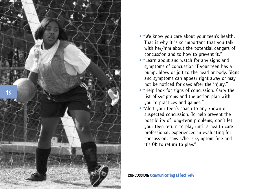

- "We know you care about your teen's health. That is why it is so important that you talk with her/him about the potential dangers of concussion and to how to prevent it."
- "Learn about and watch for any signs and symptoms of concussion if your teen has a bump, blow, or jolt to the head or body. Signs and symptoms can appear right away or may not be noticed for days after the injury."
- "Help look for signs of concussion. Carry the list of symptoms and the action plan with you to practices and games."
- "Alert your teen's coach to any known or suspected concussion. To help prevent the possibility of long-term problems, don't let your teen return to play until a health care professional, experienced in evaluating for concussion, says s/he is symptom-free and it's OK to return to play."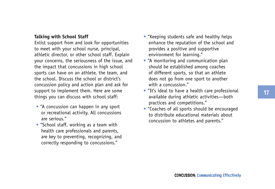#### **Talking with School Staff**

Enlist support from and look for opportunities to meet with your school nurse, principal, athletic director, or other school staff. Explain your concerns, the seriousness of the issue, and the impact that concussions in high school sports can have on an athlete, the team, and the school. Discuss the school or district's concussion policy and action plan and ask for support to implement them. Here are some things you can discuss with school staff:

- "A concussion can happen in any sport or recreational activity. All concussions are serious."
- "School staff, working as a team with health care professionals and parents, are key to preventing, recognizing, and correctly responding to concussions."
- "Keeping students safe and healthy helps enhance the reputation of the school and provides a positive and supportive environment for learning."
- "A monitoring and communication plan should be established among coaches of different sports, so that an athlete does not go from one sport to another with a concussion."
- "It's ideal to have a health care professional available during athletic activities—both practices and competitions."
- "Coaches of all sports should be encouraged to distribute educational materials about concussion to athletes and parents."

**17**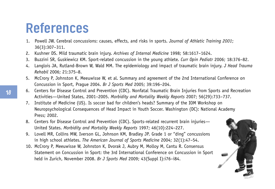## **References**

- 1. Powell JW. Cerebral concussions: causes, effects, and risks in sports. *Journal of Athletic Training 2001*; 36(3):307–311.
- 2. Kushner DS. Mild traumatic brain injury. *Archives of Internal Medicine* 1998; 58:1617–1624.
- 3. Buzzini SR, Guskiewicz KM. Sport-related concussion in the young athlete. *Curr Opin Pediatr* 2006; 18:376–82.
- 4. Langlois JA, Rutland-Brown W, Wald MM. The epidemiology and impact of traumatic brain injury. *J Head Trauma Rehabil* 2006; 21:375–8.
- 5. McCrory P, Johnston K, Meeuwisse W, et al. Summary and agreement of the 2nd International Conference on Concussion in Sport, Prague 2004. *Br J Sports Med* 2005; 39:196–204.
- 6. Centers for Disease Control and Prevention (CDC). Nonfatal Traumatic Brain Injuries from Sports and Recreation Activities—United States, 2001–2005. *Morbidity and Mortality Weekly Reports* 2007; 56(29):733–737.
- 7. Institute of Medicine (US). Is soccer bad for children's heads? Summary of the IOM Workshop on Neuropsychological Consequences of Head Impact in Youth Soccer. Washington (DC): National Academy Press; 2002.
- 8. Centers for Disease Control and Prevention (CDC). Sports-related recurrent brain injuries— United States. *Morbidity and Mortality Weekly Reports* 1997; 46(10):224–227.
- 9. Lovell MR, Collins MW, Iverson GL, Johnson KM, Bradley JP. Grade 1 or "ding" concussions in high school athletes. *The American Journal of Sports Medicine* 2004; 32(1):47–54.
- 10. McCrory P, Meeuwisse W, Johnston K, Dvorak J, Aubry M, Molloy M, Cantu R. Consensus Statement on Concussion in Sport: the 3rd International Conference on Concussion in Sport held in Zurich, November 2008. *Br J Sports Med* 2009; 43(Suppl I):i76–i84.

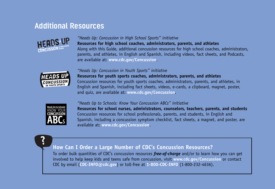#### **Additional Resources**



#### *"Heads Up: Concussion in High School Sports" initiative*

**Resources for high school coaches, administrators, parents, and athletes** Along with this Guide, additional concussion resources for high school coaches, administrators, parents, and athletes, in English and Spanish, including videos, fact sheets, and Podcasts, are available at: **www.cdc.gov/Concussion**.

#### *"Heads Up: Concussion in Youth Sports" initiative*



**Resources for youth sports coaches, administrators, parents, and athletes** Concussion resources for youth sports coaches, administrators, parents, and athletes, in English and Spanish, including fact sheets, videos, e-cards, a clipboard, magnet, poster, and quiz, are available at: **www.cdc.gov/Concussion**.

#### *"Heads Up to Schools: Know Your Concussion ABCs" initiative*



**?**

**Resources for school nurses, administrators, counselors, teachers, parents, and students** Concussion resources for school professionals, parents, and students, in English and Spanish, including a concussion symptom checklist, fact sheets, a magnet, and poster, are available at: **www.cdc.gov/Concussion**.

#### **How Can I Order a Large Number of CDC's Concussion Resources?**

To order bulk quantities of CDC's concussion resources *free-of-charge* and/or to learn how you can get involved to help keep kids and teens safe from concussion, visit **www.cdc.gov/Concussion** or contact CDC by email (**CDC-INFO@cdc.gov**) or toll-free at **1-800-CDC-INFO** (1-800-232-4636).